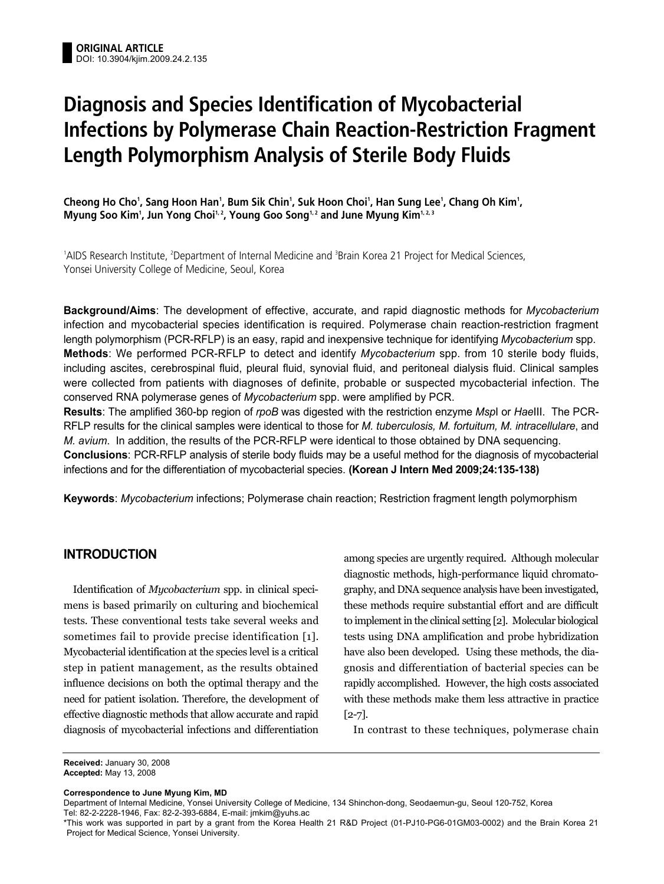# **Diagnosis and Species Identification of Mycobacterial Infections by Polymerase Chain Reaction-Restriction Fragment Length Polymorphism Analysis of Sterile Body Fluids**

**Cheong Ho Cho1 , Sang Hoon Han1 , Bum Sik Chin1 , Suk Hoon Choi1 , Han Sung Lee1 , Chang Oh Kim1 ,** Myung Soo Kim', Jun Yong Choi½, Young Goo Song½ and June Myung Kim<u>½3</u>

<sup>1</sup>AIDS Research Institute, <sup>2</sup>Department of Internal Medicine and <sup>3</sup>Brain Korea 21 Project for Medical Sciences, Yonsei University College of Medicine, Seoul, Korea

**Background/Aims**: The development of effective, accurate, and rapid diagnostic methods for *Mycobacterium* infection and mycobacterial species identification is required. Polymerase chain reaction-restriction fragment length polymorphism (PCR-RFLP) is an easy, rapid and inexpensive technique for identifying *Mycobacterium* spp. **Methods**: We performed PCR-RFLP to detect and identify *Mycobacterium* spp. from 10 sterile body fluids, including ascites, cerebrospinal fluid, pleural fluid, synovial fluid, and peritoneal dialysis fluid. Clinical samples were collected from patients with diagnoses of definite, probable or suspected mycobacterial infection. The conserved RNA polymerase genes of *Mycobacterium* spp. were amplified by PCR.

**Results**: The amplified 360-bp region of *rpoB* was digested with the restriction enzyme *Msp*I or *Hae*III. The PCR-RFLP results for the clinical samples were identical to those for *M. tuberculosis, M. fortuitum, M. intracellulare*, and *M. avium*. In addition, the results of the PCR-RFLP were identical to those obtained by DNA sequencing. **Conclusions**: PCR-RFLP analysis of sterile body fluids may be a useful method for the diagnosis of mycobacterial infections and for the differentiation of mycobacterial species. **(Korean J Intern Med 2009;24:135-138)**

**Keywords**: *Mycobacterium* infections; Polymerase chain reaction; Restriction fragment length polymorphism

### **INTRODUCTION**

Identification of *Mycobacterium* spp. in clinical specimens is based primarily on culturing and biochemical tests. These conventional tests take several weeks and sometimes fail to provide precise identification [1]. Mycobacterial identification at the species level is a critical step in patient management, as the results obtained influence decisions on both the optimal therapy and the need for patient isolation. Therefore, the development of effective diagnostic methods that allow accurate and rapid diagnosis of mycobacterial infections and differentiation

among species are urgently required. Although molecular diagnostic methods, high-performance liquid chromatography, and DNA sequence analysis have been investigated, these methods require substantial effort and are difficult to implement in the clinical setting [2]. Molecular biological tests using DNA amplification and probe hybridization have also been developed. Using these methods, the diagnosis and differentiation of bacterial species can be rapidly accomplished. However, the high costs associated with these methods make them less attractive in practice [2-7].

In contrast to these techniques, polymerase chain

**Received:** January 30, 2008 **Accepted:** May 13, 2008

**Correspondence to June Myung Kim, MD**

Department of Internal Medicine, Yonsei University College of Medicine, 134 Shinchon-dong, Seodaemun-gu, Seoul 120-752, Korea Tel: 82-2-2228-1946, Fax: 82-2-393-6884, E-mail: jmkim@yuhs.ac

<sup>\*</sup>This work was supported in part by a grant from the Korea Health 21 R&D Project (01-PJ10-PG6-01GM03-0002) and the Brain Korea 21 Project for Medical Science, Yonsei University.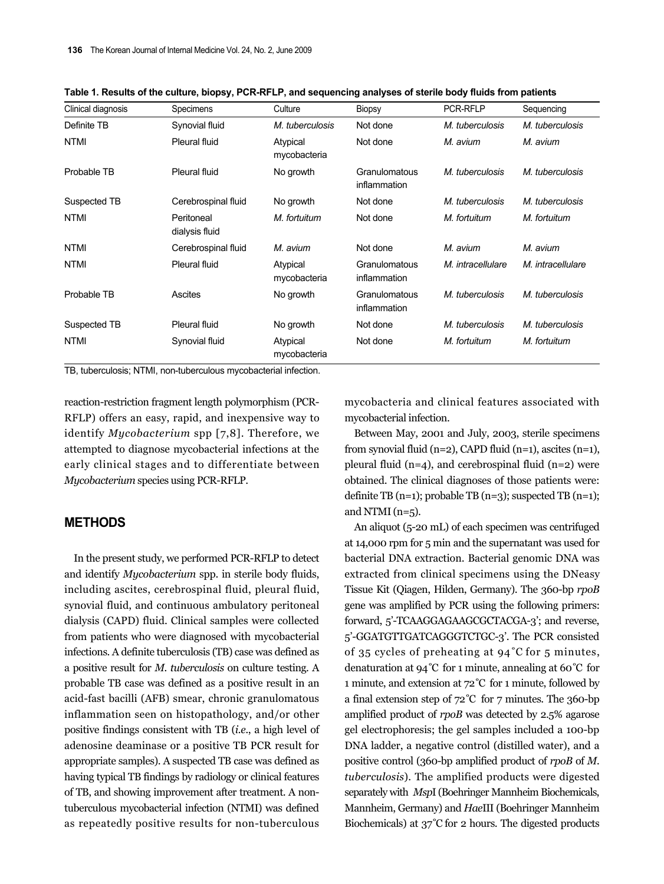| Clinical diagnosis | <b>Specimens</b>             | Culture                  | <b>Biopsy</b>                 | <b>PCR-RFLP</b>   | Sequencing        |
|--------------------|------------------------------|--------------------------|-------------------------------|-------------------|-------------------|
| Definite TB        | Synovial fluid               | M. tuberculosis          | Not done                      | M. tuberculosis   | M. tuberculosis   |
| <b>NTMI</b>        | Pleural fluid                | Atypical<br>mycobacteria | Not done                      | M. avium          | M. avium          |
| Probable TB        | <b>Pleural fluid</b>         | No growth                | Granulomatous<br>inflammation | M. tuberculosis   | M. tuberculosis   |
| Suspected TB       | Cerebrospinal fluid          | No growth                | Not done                      | M. tuberculosis   | M. tuberculosis   |
| <b>NTMI</b>        | Peritoneal<br>dialysis fluid | M. fortuitum             | Not done                      | M. fortuitum      | M. fortuitum      |
| NTMI               | Cerebrospinal fluid          | M. avium                 | Not done                      | M. avium          | M. avium          |
| <b>NTMI</b>        | <b>Pleural fluid</b>         | Atypical<br>mycobacteria | Granulomatous<br>inflammation | M. intracellulare | M. intracellulare |
| Probable TB        | <b>Ascites</b>               | No growth                | Granulomatous<br>inflammation | M. tuberculosis   | M. tuberculosis   |
| Suspected TB       | <b>Pleural fluid</b>         | No growth                | Not done                      | M. tuberculosis   | M. tuberculosis   |
| <b>NTMI</b>        | Synovial fluid               | Atypical<br>mycobacteria | Not done                      | M. fortuitum      | M. fortuitum      |

**Table 1. Results of the culture, biopsy, PCR-RFLP, and sequencing analyses of sterile body fluids from patients**

TB, tuberculosis; NTMI, non-tuberculous mycobacterial infection.

reaction-restriction fragment length polymorphism (PCR-RFLP) offers an easy, rapid, and inexpensive way to identify *Mycobacterium* spp [7,8]. Therefore, we attempted to diagnose mycobacterial infections at the early clinical stages and to differentiate between *Mycobacterium* species using PCR-RFLP.

## **METHODS**

In the present study, we performed PCR-RFLP to detect and identify *Mycobacterium* spp. in sterile body fluids, including ascites, cerebrospinal fluid, pleural fluid, synovial fluid, and continuous ambulatory peritoneal dialysis (CAPD) fluid. Clinical samples were collected from patients who were diagnosed with mycobacterial infections. A definite tuberculosis (TB) case was defined as a positive result for *M. tuberculosis* on culture testing. A probable TB case was defined as a positive result in an acid-fast bacilli (AFB) smear, chronic granulomatous inflammation seen on histopathology, and/or other positive findings consistent with TB (*i.e.*, a high level of adenosine deaminase or a positive TB PCR result for appropriate samples). A suspected TB case was defined as having typical TB findings by radiology or clinical features of TB, and showing improvement after treatment. A nontuberculous mycobacterial infection (NTMI) was defined as repeatedly positive results for non-tuberculous mycobacteria and clinical features associated with mycobacterial infection.

Between May, 2001 and July, 2003, sterile specimens from synovial fluid  $(n=2)$ , CAPD fluid  $(n=1)$ , ascites  $(n=1)$ , pleural fluid ( $n=4$ ), and cerebrospinal fluid ( $n=2$ ) were obtained. The clinical diagnoses of those patients were: definite TB  $(n=1)$ ; probable TB  $(n=3)$ ; suspected TB  $(n=1)$ ; and NTMI  $(n=5)$ .

An aliquot (5-20 mL) of each specimen was centrifuged at 14,000 rpm for 5 min and the supernatant was used for bacterial DNA extraction. Bacterial genomic DNA was extracted from clinical specimens using the DNeasy Tissue Kit (Qiagen, Hilden, Germany). The 360-bp *rpoB* gene was amplified by PCR using the following primers: forward, 5'-TCAAGGAGAAGCGCTACGA-3'; and reverse, 5'-GGATGTTGATCAGGGTCTGC-3'. The PCR consisted of 35 cycles of preheating at 94˚C for 5 minutes, denaturation at 94˚C for 1 minute, annealing at 60˚C for 1 minute, and extension at 72˚C for 1 minute, followed by a final extension step of 72˚C for 7 minutes. The 360-bp amplified product of *rpoB* was detected by 2.5% agarose gel electrophoresis; the gel samples included a 100-bp DNA ladder, a negative control (distilled water), and a positive control (360-bp amplified product of *rpoB* of *M. tuberculosis*). The amplified products were digested separately with *Msp*I (Boehringer Mannheim Biochemicals, Mannheim, Germany) and *Hae*III (Boehringer Mannheim Biochemicals) at 37˚C for 2 hours. The digested products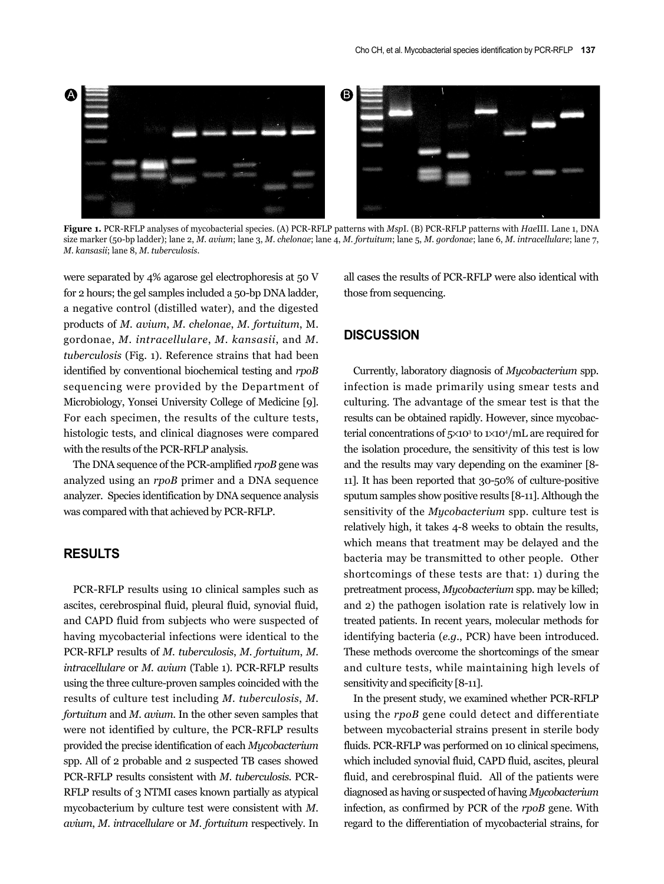

**Figure 1.** PCR-RFLP analyses of mycobacterial species. (A) PCR-RFLP patterns with *Msp*I. (B) PCR-RFLP patterns with *Hae*III. Lane 1, DNA size marker (50-bp ladder); lane 2, *M. avium*; lane 3, *M. chelonae*; lane 4, *M. fortuitum*; lane 5, *M. gordonae*; lane 6, *M. intracellulare*; lane 7, *M. kansasii*; lane 8, *M. tuberculosis*.

were separated by 4% agarose gel electrophoresis at 50 V for 2 hours; the gel samples included a 50-bp DNA ladder, a negative control (distilled water), and the digested products of *M. avium*, *M. chelonae*, *M. fortuitum*, M. gordonae, *M. intracellulare*, *M. kansasii*, and *M. tuberculosis* (Fig. 1). Reference strains that had been identified by conventional biochemical testing and *rpoB* sequencing were provided by the Department of Microbiology, Yonsei University College of Medicine [9]. For each specimen, the results of the culture tests, histologic tests, and clinical diagnoses were compared with the results of the PCR-RFLP analysis.

The DNA sequence of the PCR-amplified *rpoB* gene was analyzed using an *rpoB* primer and a DNA sequence analyzer. Species identification by DNA sequence analysis was compared with that achieved by PCR-RFLP.

#### **RESULTS**

PCR-RFLP results using 10 clinical samples such as ascites, cerebrospinal fluid, pleural fluid, synovial fluid, and CAPD fluid from subjects who were suspected of having mycobacterial infections were identical to the PCR-RFLP results of *M. tuberculosis*, *M. fortuitum*, *M. intracellulare* or *M. avium* (Table 1). PCR-RFLP results using the three culture-proven samples coincided with the results of culture test including *M. tuberculosis*, *M. fortuitum* and *M. avium*. In the other seven samples that were not identified by culture, the PCR-RFLP results provided the precise identification of each *Mycobacterium* spp. All of 2 probable and 2 suspected TB cases showed PCR-RFLP results consistent with *M. tuberculosis*. PCR-RFLP results of 3 NTMI cases known partially as atypical mycobacterium by culture test were consistent with *M. avium*, *M. intracellulare* or *M. fortuitum* respectively. In

all cases the results of PCR-RFLP were also identical with those from sequencing.

## **DISCUSSION**

Currently, laboratory diagnosis of *Mycobacterium* spp. infection is made primarily using smear tests and culturing. The advantage of the smear test is that the results can be obtained rapidly. However, since mycobacterial concentrations of  $5\times10^3$  to  $1\times10^4/\text{mL}$  are required for the isolation procedure, the sensitivity of this test is low and the results may vary depending on the examiner [8- 11]. It has been reported that 30-50% of culture-positive sputum samples show positive results [8-11]. Although the sensitivity of the *Mycobacterium* spp. culture test is relatively high, it takes 4-8 weeks to obtain the results, which means that treatment may be delayed and the bacteria may be transmitted to other people. Other shortcomings of these tests are that: 1) during the pretreatment process, *Mycobacterium* spp. may be killed; and 2) the pathogen isolation rate is relatively low in treated patients. In recent years, molecular methods for identifying bacteria (*e.g.*, PCR) have been introduced. These methods overcome the shortcomings of the smear and culture tests, while maintaining high levels of sensitivity and specificity [8-11].

In the present study, we examined whether PCR-RFLP using the *rpoB* gene could detect and differentiate between mycobacterial strains present in sterile body fluids. PCR-RFLP was performed on 10 clinical specimens, which included synovial fluid, CAPD fluid, ascites, pleural fluid, and cerebrospinal fluid. All of the patients were diagnosed as having or suspected of having *Mycobacterium* infection, as confirmed by PCR of the *rpoB* gene. With regard to the differentiation of mycobacterial strains, for